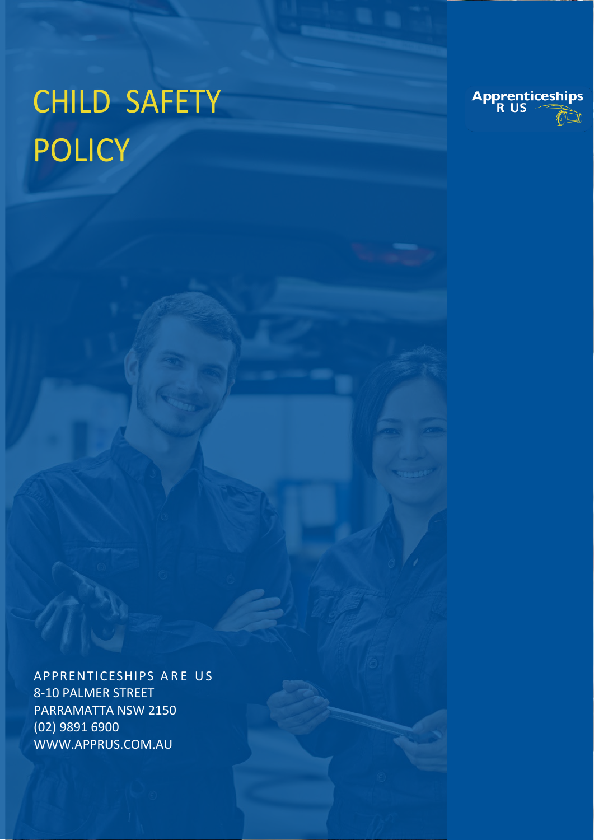# CHILD SAFETY POLICY



APPRENTICESHIPS ARE US 8-10 PALMER STREET PARRAMATTA NSW 2150 (02) 9891 6900 WWW.APPRUS.COM.AU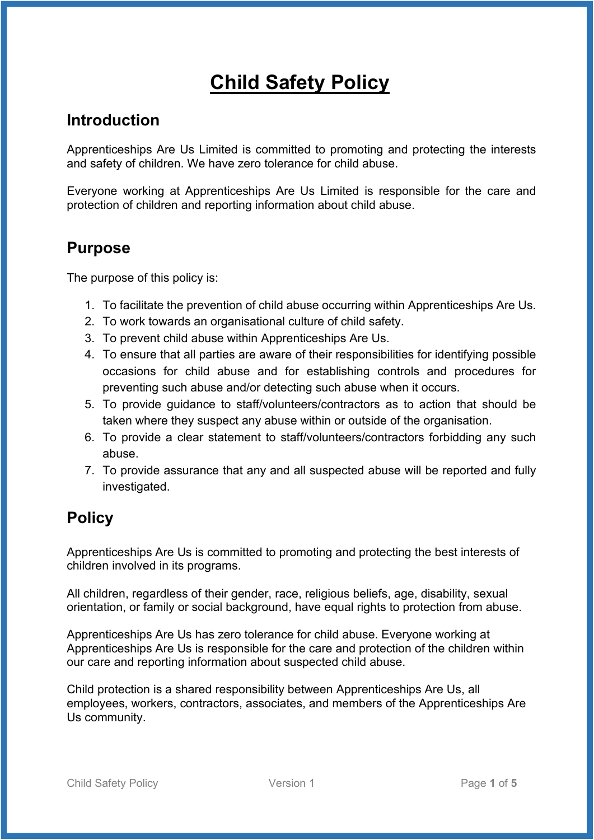## **Child Safety Policy**

### **Introduction**

Apprenticeships Are Us Limited is committed to promoting and protecting the interests and safety of children. We have zero tolerance for child abuse.

Everyone working at Apprenticeships Are Us Limited is responsible for the care and protection of children and reporting information about child abuse.

## **Purpose**

The purpose of this policy is:

- 1. To facilitate the prevention of child abuse occurring within Apprenticeships Are Us.
- 2. To work towards an organisational culture of child safety.
- 3. To prevent child abuse within Apprenticeships Are Us.
- 4. To ensure that all parties are aware of their responsibilities for identifying possible occasions for child abuse and for establishing controls and procedures for preventing such abuse and/or detecting such abuse when it occurs.
- 5. To provide guidance to staff/volunteers/contractors as to action that should be taken where they suspect any abuse within or outside of the organisation.
- 6. To provide a clear statement to staff/volunteers/contractors forbidding any such abuse.
- 7. To provide assurance that any and all suspected abuse will be reported and fully investigated.

## **Policy**

Apprenticeships Are Us is committed to promoting and protecting the best interests of children involved in its programs.

All children, regardless of their gender, race, religious beliefs, age, disability, sexual orientation, or family or social background, have equal rights to protection from abuse.

Apprenticeships Are Us has zero tolerance for child abuse. Everyone working at Apprenticeships Are Us is responsible for the care and protection of the children within our care and reporting information about suspected child abuse.

Child protection is a shared responsibility between Apprenticeships Are Us, all employees, workers, contractors, associates, and members of the Apprenticeships Are Us community.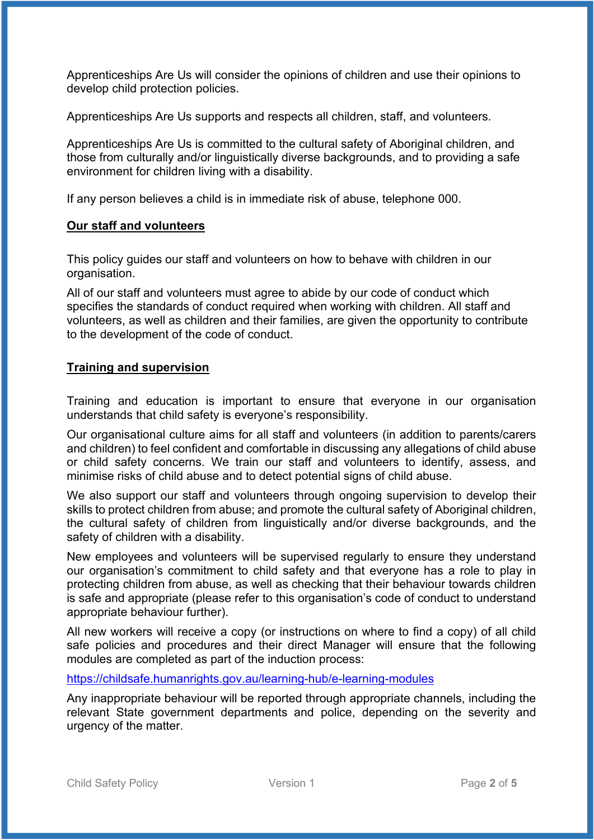Apprenticeships Are Us will consider the opinions of children and use their opinions to develop child protection policies.

Apprenticeships Are Us supports and respects all children, staff, and volunteers.

Apprenticeships Are Us is committed to the cultural safety of Aboriginal children, and those from culturally and/or linguistically diverse backgrounds, and to providing a safe environment for children living with a disability.

If any person believes a child is in immediate risk of abuse, telephone 000.

#### **Our staff and volunteers**

This policy guides our staff and volunteers on how to behave with children in our organisation.

All of our staff and volunteers must agree to abide by our code of conduct which specifies the standards of conduct required when working with children. All staff and volunteers, as well as children and their families, are given the opportunity to contribute to the development of the code of conduct.

#### **Training and supervision**

Training and education is important to ensure that everyone in our organisation understands that child safety is everyone's responsibility.

Our organisational culture aims for all staff and volunteers (in addition to parents/carers and children) to feel confident and comfortable in discussing any allegations of child abuse or child safety concerns. We train our staff and volunteers to identify, assess, and minimise risks of child abuse and to detect potential signs of child abuse.

We also support our staff and volunteers through ongoing supervision to develop their skills to protect children from abuse; and promote the cultural safety of Aboriginal children, the cultural safety of children from linguistically and/or diverse backgrounds, and the safety of children with a disability.

New employees and volunteers will be supervised regularly to ensure they understand our organisation's commitment to child safety and that everyone has a role to play in protecting children from abuse, as well as checking that their behaviour towards children is safe and appropriate (please refer to this organisation's code of conduct to understand appropriate behaviour further).

All new workers will receive a copy (or instructions on where to find a copy) of all child safe policies and procedures and their direct Manager will ensure that the following modules are completed as part of the induction process:

<https://childsafe.humanrights.gov.au/learning-hub/e-learning-modules>

Any inappropriate behaviour will be reported through appropriate channels, including the relevant State government departments and police, depending on the severity and urgency of the matter.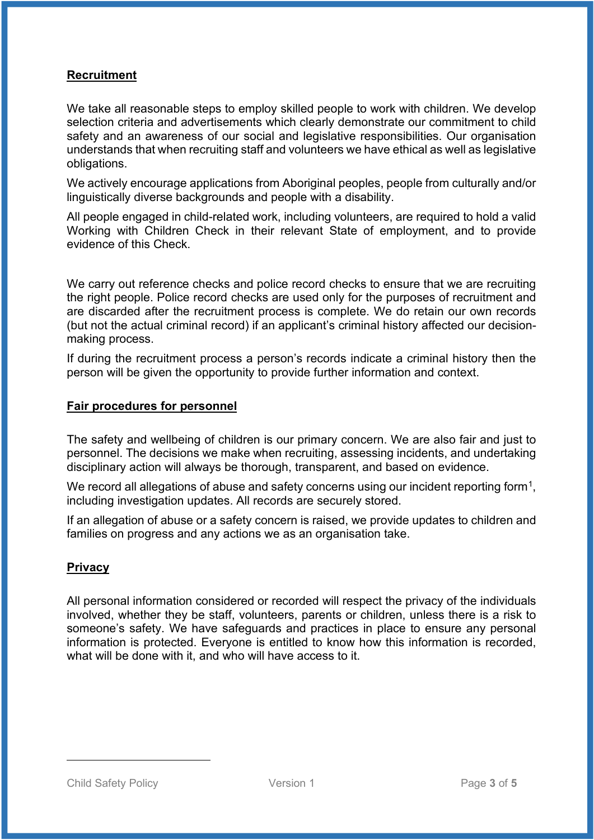#### **Recruitment**

We take all reasonable steps to employ skilled people to work with children. We develop selection criteria and advertisements which clearly demonstrate our commitment to child safety and an awareness of our social and legislative responsibilities. Our organisation understands that when recruiting staff and volunteers we have ethical as well as legislative obligations.

We actively encourage applications from Aboriginal peoples, people from culturally and/or linguistically diverse backgrounds and people with a disability.

All people engaged in child-related work, including volunteers, are required to hold a valid Working with Children Check in their relevant State of employment, and to provide evidence of this Check.

We carry out reference checks and police record checks to ensure that we are recruiting the right people. Police record checks are used only for the purposes of recruitment and are discarded after the recruitment process is complete. We do retain our own records (but not the actual criminal record) if an applicant's criminal history affected our decisionmaking process.

If during the recruitment process a person's records indicate a criminal history then the person will be given the opportunity to provide further information and context.

#### **Fair procedures for personnel**

The safety and wellbeing of children is our primary concern. We are also fair and just to personnel. The decisions we make when recruiting, assessing incidents, and undertaking disciplinary action will always be thorough, transparent, and based on evidence.

We record all allegations of abuse and safety concerns using our incident reporting form<sup>[1](#page-3-0)</sup>, including investigation updates. All records are securely stored.

If an allegation of abuse or a safety concern is raised, we provide updates to children and families on progress and any actions we as an organisation take.

#### **Privacy**

<span id="page-3-0"></span>All personal information considered or recorded will respect the privacy of the individuals involved, whether they be staff, volunteers, parents or children, unless there is a risk to someone's safety. We have safeguards and practices in place to ensure any personal information is protected. Everyone is entitled to know how this information is recorded, what will be done with it, and who will have access to it.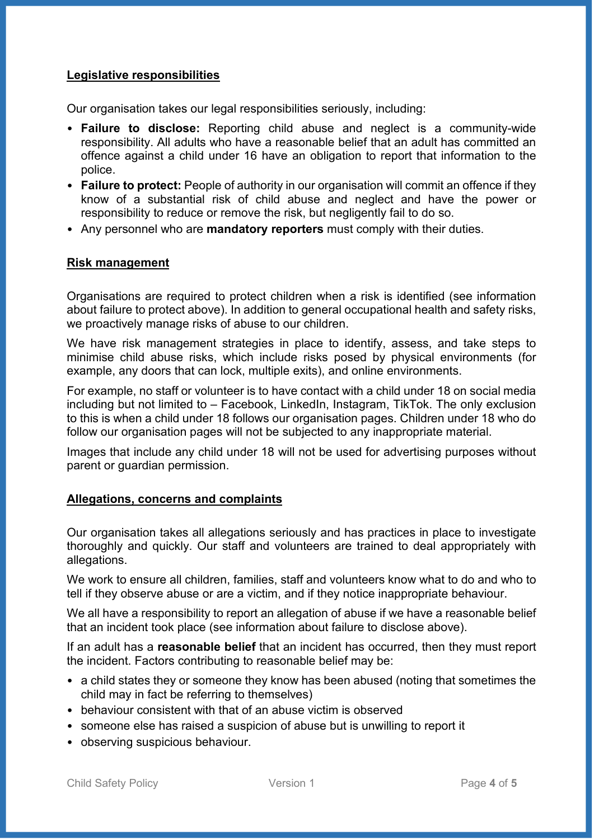#### **Legislative responsibilities**

Our organisation takes our legal responsibilities seriously, including:

- **Failure to disclose:** Reporting child abuse and neglect is a community-wide responsibility. All adults who have a reasonable belief that an adult has committed an offence against a child under 16 have an obligation to report that information to the police.
- **Failure to protect:** People of authority in our organisation will commit an offence if they know of a substantial risk of child abuse and neglect and have the power or responsibility to reduce or remove the risk, but negligently fail to do so.
- Any personnel who are **mandatory reporters** must comply with their duties.

#### **Risk management**

Organisations are required to protect children when a risk is identified (see information about failure to protect above). In addition to general occupational health and safety risks, we proactively manage risks of abuse to our children.

We have risk management strategies in place to identify, assess, and take steps to minimise child abuse risks, which include risks posed by physical environments (for example, any doors that can lock, multiple exits), and online environments.

For example, no staff or volunteer is to have contact with a child under 18 on social media including but not limited to – Facebook, LinkedIn, Instagram, TikTok. The only exclusion to this is when a child under 18 follows our organisation pages. Children under 18 who do follow our organisation pages will not be subjected to any inappropriate material.

Images that include any child under 18 will not be used for advertising purposes without parent or guardian permission.

#### **Allegations, concerns and complaints**

Our organisation takes all allegations seriously and has practices in place to investigate thoroughly and quickly. Our staff and volunteers are trained to deal appropriately with allegations.

We work to ensure all children, families, staff and volunteers know what to do and who to tell if they observe abuse or are a victim, and if they notice inappropriate behaviour.

We all have a responsibility to report an allegation of abuse if we have a reasonable belief that an incident took place (see information about failure to disclose above).

If an adult has a **reasonable belief** that an incident has occurred, then they must report the incident. Factors contributing to reasonable belief may be:

- a child states they or someone they know has been abused (noting that sometimes the child may in fact be referring to themselves)
- behaviour consistent with that of an abuse victim is observed
- someone else has raised a suspicion of abuse but is unwilling to report it
- observing suspicious behaviour.